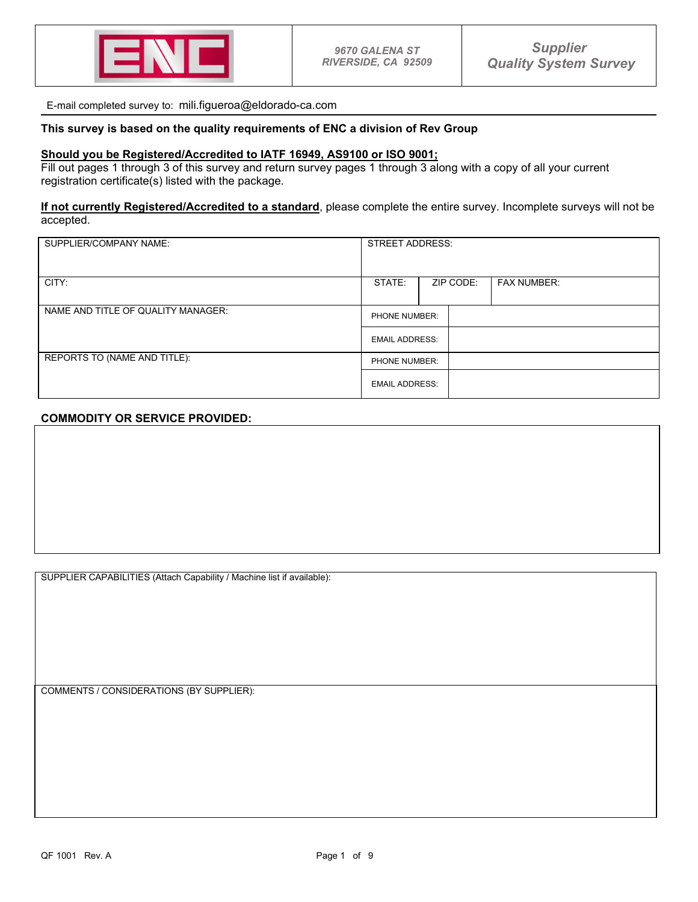

E-mail completed survey to: mili.figueroa@eldorado-ca.com

## **This survey is based on the quality requirements of ENC a division of Rev Group**

## **Should you be Registered/Accredited to IATF 16949, AS9100 or ISO 9001;**

Fill out pages 1 through 3 of this survey and return survey pages 1 through 3 along with a copy of all your current registration certificate(s) listed with the package.

## **If not currently Registered/Accredited to a standard**, please complete the entire survey. Incomplete surveys will not be accepted.

| SUPPLIER/COMPANY NAME:             | <b>STREET ADDRESS:</b>                 |  |           |                    |
|------------------------------------|----------------------------------------|--|-----------|--------------------|
|                                    |                                        |  |           |                    |
| CITY:                              | STATE:                                 |  | ZIP CODE: | <b>FAX NUMBER:</b> |
|                                    |                                        |  |           |                    |
| NAME AND TITLE OF QUALITY MANAGER: | PHONE NUMBER:                          |  |           |                    |
|                                    | <b>EMAIL ADDRESS:</b>                  |  |           |                    |
| REPORTS TO (NAME AND TITLE):       | PHONE NUMBER:<br><b>EMAIL ADDRESS:</b> |  |           |                    |
|                                    |                                        |  |           |                    |

## **COMMODITY OR SERVICE PROVIDED:**

SUPPLIER CAPABILITIES (Attach Capability / Machine list if available):

COMMENTS / CONSIDERATIONS (BY SUPPLIER):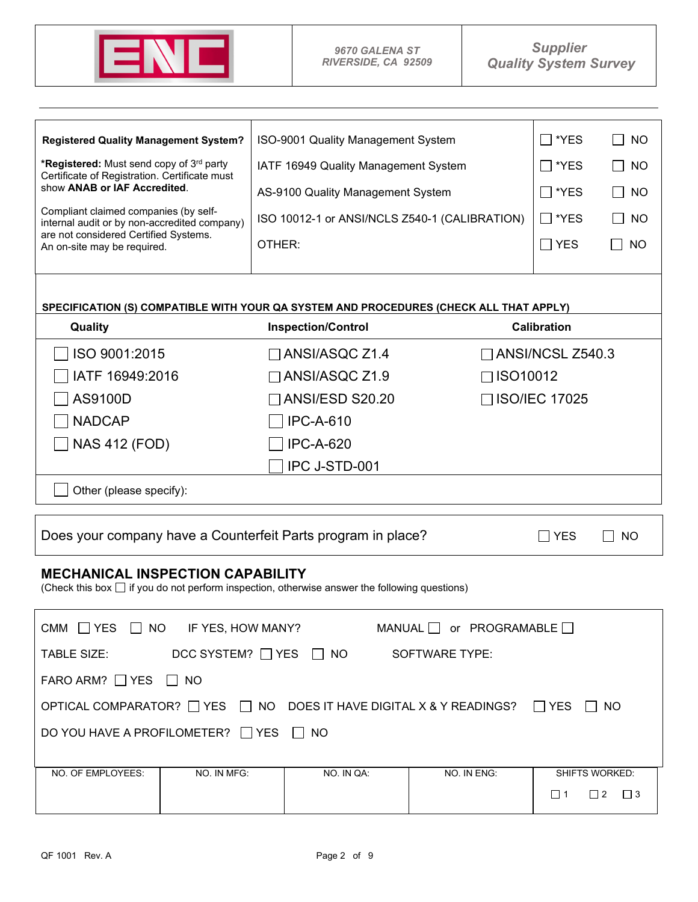

| <b>Registered Quality Management System?</b>                                                                                                  | ISO-9001 Quality Management System            |                                     | $\Box$ *YES               | <b>NO</b><br>$\blacksquare$ |
|-----------------------------------------------------------------------------------------------------------------------------------------------|-----------------------------------------------|-------------------------------------|---------------------------|-----------------------------|
| *Registered: Must send copy of 3rd party<br>Certificate of Registration. Certificate must                                                     | IATF 16949 Quality Management System          |                                     | $\Box$ *YES               | NO                          |
| show ANAB or IAF Accredited.                                                                                                                  | AS-9100 Quality Management System             |                                     | $\Box$ *YES               | $\Box$ No                   |
| Compliant claimed companies (by self-<br>internal audit or by non-accredited company)                                                         | ISO 10012-1 or ANSI/NCLS Z540-1 (CALIBRATION) |                                     | $\Box$ *YES               | I I NO                      |
| are not considered Certified Systems.<br>An on-site may be required.                                                                          | OTHER:                                        |                                     | $\Box$ YES                | $\blacksquare$<br><b>NO</b> |
|                                                                                                                                               |                                               |                                     |                           |                             |
|                                                                                                                                               |                                               |                                     |                           |                             |
| SPECIFICATION (S) COMPATIBLE WITH YOUR QA SYSTEM AND PROCEDURES (CHECK ALL THAT APPLY)                                                        |                                               |                                     | <b>Calibration</b>        |                             |
| Quality                                                                                                                                       | <b>Inspection/Control</b>                     |                                     |                           |                             |
| ISO 9001:2015                                                                                                                                 | $\Box$ ANSI/ASQC Z1.4                         |                                     | $\sqcap$ ANSI/NCSL Z540.3 |                             |
| IATF 16949:2016                                                                                                                               | $\Box$ ANSI/ASQC Z1.9                         | $\Box$ ISO10012                     |                           |                             |
| AS9100D                                                                                                                                       | ANSI/ESD S20.20                               |                                     | □ ISO/IEC 17025           |                             |
| <b>NADCAP</b>                                                                                                                                 | <b>IPC-A-610</b>                              |                                     |                           |                             |
| <b>NAS 412 (FOD)</b>                                                                                                                          | <b>IPC-A-620</b>                              |                                     |                           |                             |
|                                                                                                                                               | IPC J-STD-001                                 |                                     |                           |                             |
| Other (please specify):                                                                                                                       |                                               |                                     |                           |                             |
|                                                                                                                                               |                                               |                                     |                           |                             |
| Does your company have a Counterfeit Parts program in place?                                                                                  |                                               |                                     | <b>YES</b>                | NO.                         |
| <b>MECHANICAL INSPECTION CAPABILITY</b><br>(Check this box $\Box$ if you do not perform inspection, otherwise answer the following questions) |                                               |                                     |                           |                             |
| CMM $\Box$ YES $\Box$ NO IF YES, HOW MANY?                                                                                                    |                                               | MANUAL $\Box$ or PROGRAMABLE $\Box$ |                           |                             |
| TABLE SIZE:                                                                                                                                   | DCC SYSTEM? □ YES □ NO SOFTWARE TYPE:         |                                     |                           |                             |
| FARO ARM? $\Box$ YES $\Box$ NO                                                                                                                |                                               |                                     |                           |                             |
| OPTICAL COMPARATOR? $\Box$ YES $\Box$ NO DOES IT HAVE DIGITAL X & Y READINGS? $\Box$ YES $\Box$ NO                                            |                                               |                                     |                           |                             |
| DO YOU HAVE A PROFILOMETER? □ YES □ NO                                                                                                        |                                               |                                     |                           |                             |
| NO. OF EMPLOYEES:<br>NO. IN MFG:                                                                                                              | NO. IN QA:                                    | NO. IN ENG:                         | <b>SHIFTS WORKED:</b>     |                             |
|                                                                                                                                               |                                               |                                     | $\Box$ 1                  | $\Box$ 2 $\Box$ 3           |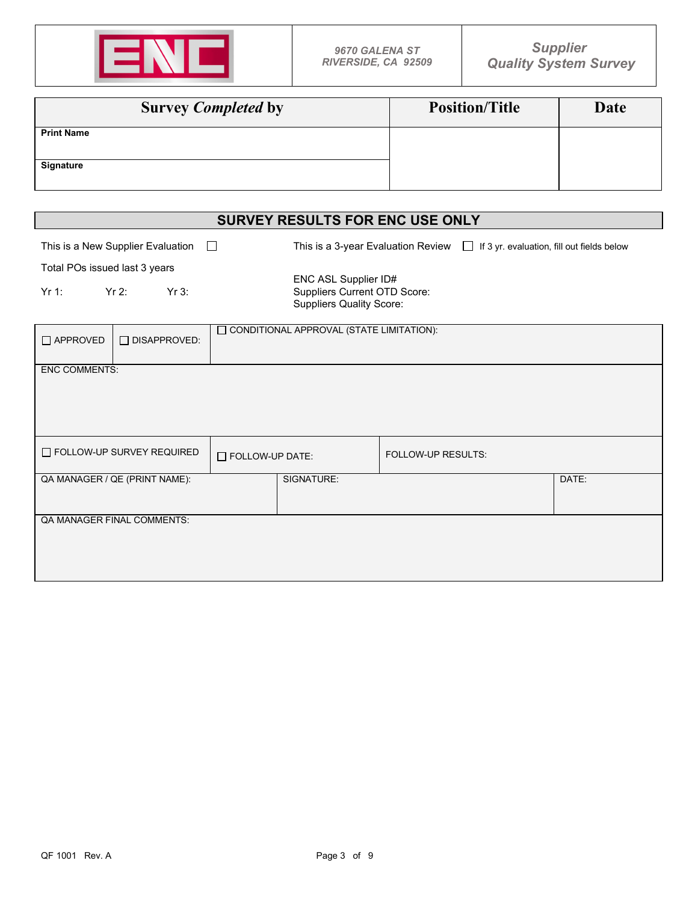

| <b>Survey Completed by</b> | <b>Position/Title</b> | Date |
|----------------------------|-----------------------|------|
| <b>Print Name</b>          |                       |      |
| <b>Signature</b>           |                       |      |

|                                                                                                                     | <b>SURVEY RESULTS FOR ENC USE ONLY</b> |                                                   |       |  |  |
|---------------------------------------------------------------------------------------------------------------------|----------------------------------------|---------------------------------------------------|-------|--|--|
| This is a New Supplier Evaluation $\Box$                                                                            | This is a 3-year Evaluation Review     | $\Box$ If 3 yr. evaluation, fill out fields below |       |  |  |
| Total POs issued last 3 years                                                                                       |                                        |                                                   |       |  |  |
| ENC ASL Supplier ID#<br>$Yr$ 2:<br>Yr3:<br>Suppliers Current OTD Score:<br>Yr 1:<br><b>Suppliers Quality Score:</b> |                                        |                                                   |       |  |  |
| CONDITIONAL APPROVAL (STATE LIMITATION):<br>$\Box$ APPROVED<br>$\Box$ DISAPPROVED:                                  |                                        |                                                   |       |  |  |
| <b>ENC COMMENTS:</b>                                                                                                |                                        |                                                   |       |  |  |
| $\Box$ FOLLOW-UP SURVEY REQUIRED                                                                                    | FOLLOW-UP DATE:                        | <b>FOLLOW-UP RESULTS:</b>                         |       |  |  |
| QA MANAGER / QE (PRINT NAME):                                                                                       | SIGNATURE:                             |                                                   | DATE: |  |  |
| QA MANAGER FINAL COMMENTS:                                                                                          |                                        |                                                   |       |  |  |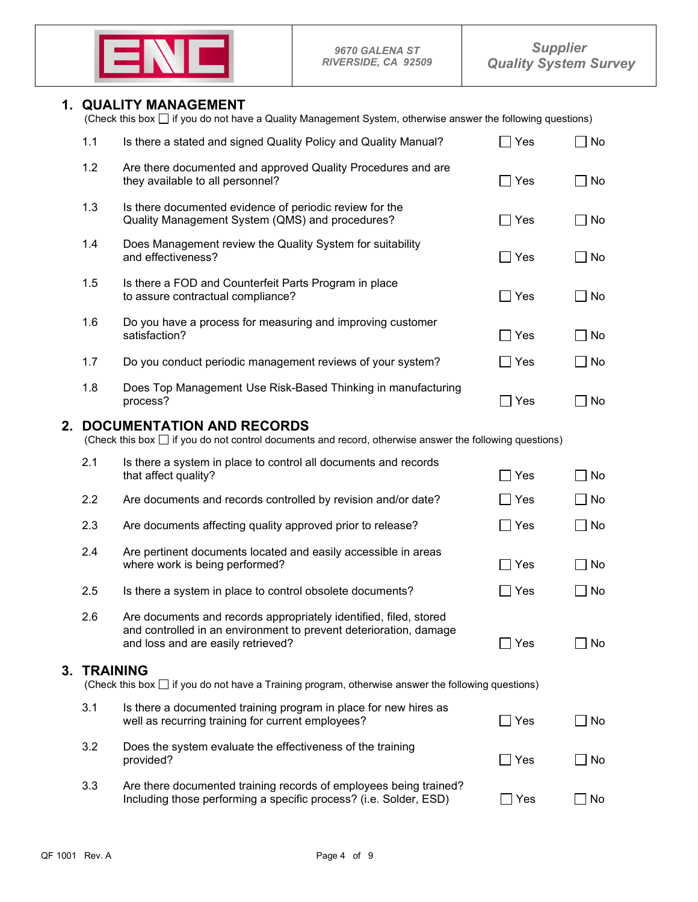

## **1. QUALITY MANAGEMENT**

|  | (Check this box $\Box$ if you do not have a Quality Management System, otherwise answer the following questions) |  |  |
|--|------------------------------------------------------------------------------------------------------------------|--|--|
|  |                                                                                                                  |  |  |

|    | 1.1 | Is there a stated and signed Quality Policy and Quality Manual?                                                                                                              | Yes                             | No        |
|----|-----|------------------------------------------------------------------------------------------------------------------------------------------------------------------------------|---------------------------------|-----------|
|    | 1.2 | Are there documented and approved Quality Procedures and are<br>they available to all personnel?                                                                             | Yes                             | No        |
|    | 1.3 | Is there documented evidence of periodic review for the<br>Quality Management System (QMS) and procedures?                                                                   | $\Box$ Yes                      | No        |
|    | 1.4 | Does Management review the Quality System for suitability<br>and effectiveness?                                                                                              | Yes<br>$\blacksquare$           | No        |
|    | 1.5 | Is there a FOD and Counterfeit Parts Program in place<br>to assure contractual compliance?                                                                                   | Yes<br>$\overline{\phantom{a}}$ | No        |
|    | 1.6 | Do you have a process for measuring and improving customer<br>satisfaction?                                                                                                  | Yes                             | No        |
|    | 1.7 | Do you conduct periodic management reviews of your system?                                                                                                                   | Yes                             | No        |
|    | 1.8 | Does Top Management Use Risk-Based Thinking in manufacturing<br>process?                                                                                                     | Yes                             | No        |
| 2. |     | <b>DOCUMENTATION AND RECORDS</b><br>(Check this box $\Box$ if you do not control documents and record, otherwise answer the following questions)                             |                                 |           |
|    | 2.1 | Is there a system in place to control all documents and records<br>that affect quality?                                                                                      | Yes                             | No        |
|    | 2.2 | Are documents and records controlled by revision and/or date?                                                                                                                | Yes                             | No        |
|    | 2.3 | Are documents affecting quality approved prior to release?                                                                                                                   | $\Box$ Yes                      | $\Box$ No |
|    | 2.4 | Are pertinent documents located and easily accessible in areas<br>where work is being performed?                                                                             | Yes<br>$\blacksquare$           | No        |
|    | 2.5 | Is there a system in place to control obsolete documents?                                                                                                                    | Yes                             | No        |
|    | 2.6 | Are documents and records appropriately identified, filed, stored<br>and controlled in an environment to prevent deterioration, damage<br>and loss and are easily retrieved? | Yes                             | No        |

**3. <b>TRAINING** (Check this box  $\Box$  if you do not have a Training program, otherwise answer the following questions)

| 3.1 | Is there a documented training program in place for new hires as<br>well as recurring training for current employees?                  | i Yes      | No |
|-----|----------------------------------------------------------------------------------------------------------------------------------------|------------|----|
| 3.2 | Does the system evaluate the effectiveness of the training<br>provided?                                                                | $\Box$ Yes | No |
| 3.3 | Are there documented training records of employees being trained?<br>Including those performing a specific process? (i.e. Solder, ESD) | Yes        | No |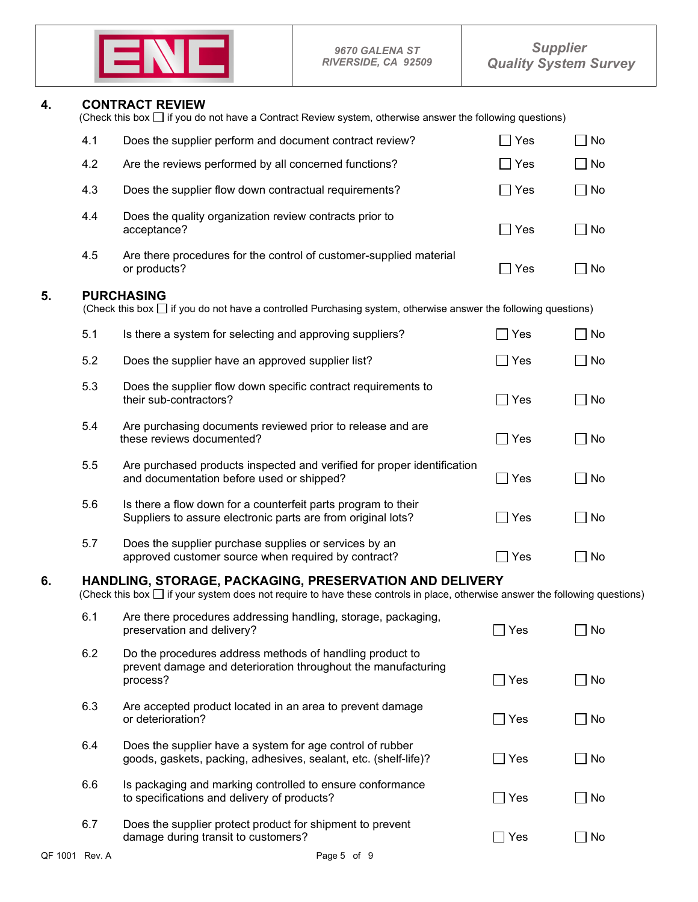

**4. CONTRACT REVIEW** (Check this box  $\Box$  if you do not have a Contract Review system, otherwise answer the following questions)

|    | 4.1 | Does the supplier perform and document contract review?                                                                                                                                         | Yes           | No        |
|----|-----|-------------------------------------------------------------------------------------------------------------------------------------------------------------------------------------------------|---------------|-----------|
|    | 4.2 | Are the reviews performed by all concerned functions?                                                                                                                                           | Yes           | No        |
|    | 4.3 | Does the supplier flow down contractual requirements?                                                                                                                                           | $\Box$ Yes    | $\Box$ No |
|    | 4.4 | Does the quality organization review contracts prior to<br>acceptance?                                                                                                                          | $\Box$ Yes    | $\Box$ No |
|    | 4.5 | Are there procedures for the control of customer-supplied material<br>or products?                                                                                                              | $\Box$ Yes    | $\Box$ No |
| 5. |     | <b>PURCHASING</b><br>(Check this box $\Box$ if you do not have a controlled Purchasing system, otherwise answer the following questions)                                                        |               |           |
|    | 5.1 | Is there a system for selecting and approving suppliers?                                                                                                                                        | $\Box$ Yes    | No        |
|    | 5.2 | Does the supplier have an approved supplier list?                                                                                                                                               | $\Box$ Yes    | $\Box$ No |
|    | 5.3 | Does the supplier flow down specific contract requirements to<br>their sub-contractors?                                                                                                         | $\exists$ Yes | No        |
|    | 5.4 | Are purchasing documents reviewed prior to release and are<br>these reviews documented?                                                                                                         | $\bigcap$ Yes | No        |
|    | 5.5 | Are purchased products inspected and verified for proper identification<br>and documentation before used or shipped?                                                                            | $\Box$ Yes    | No        |
|    | 5.6 | Is there a flow down for a counterfeit parts program to their<br>Suppliers to assure electronic parts are from original lots?                                                                   | $\Box$ Yes    | $\Box$ No |
|    | 5.7 | Does the supplier purchase supplies or services by an<br>approved customer source when required by contract?                                                                                    | Yes           | $\Box$ No |
| 6. |     | HANDLING, STORAGE, PACKAGING, PRESERVATION AND DELIVERY<br>(Check this box $\square$ if your system does not require to have these controls in place, otherwise answer the following questions) |               |           |
|    | 6.1 | Are there procedures addressing handling, storage, packaging,<br>preservation and delivery?                                                                                                     | Yes           | No        |
|    | 6.2 | Do the procedures address methods of handling product to<br>prevent damage and deterioration throughout the manufacturing<br>process?                                                           | ∃ Yes         | $\Box$ No |
|    | 6.3 | Are accepted product located in an area to prevent damage<br>or deterioration?                                                                                                                  | $\Box$ Yes    | No        |
|    | 6.4 | Does the supplier have a system for age control of rubber<br>goods, gaskets, packing, adhesives, sealant, etc. (shelf-life)?                                                                    | $\Box$ Yes    | No        |
|    | 6.6 | Is packaging and marking controlled to ensure conformance<br>to specifications and delivery of products?                                                                                        | $\Box$ Yes    | □ No      |
|    | 6.7 | Does the supplier protect product for shipment to prevent<br>damage during transit to customers?                                                                                                | $\Box$ Yes    | $\Box$ No |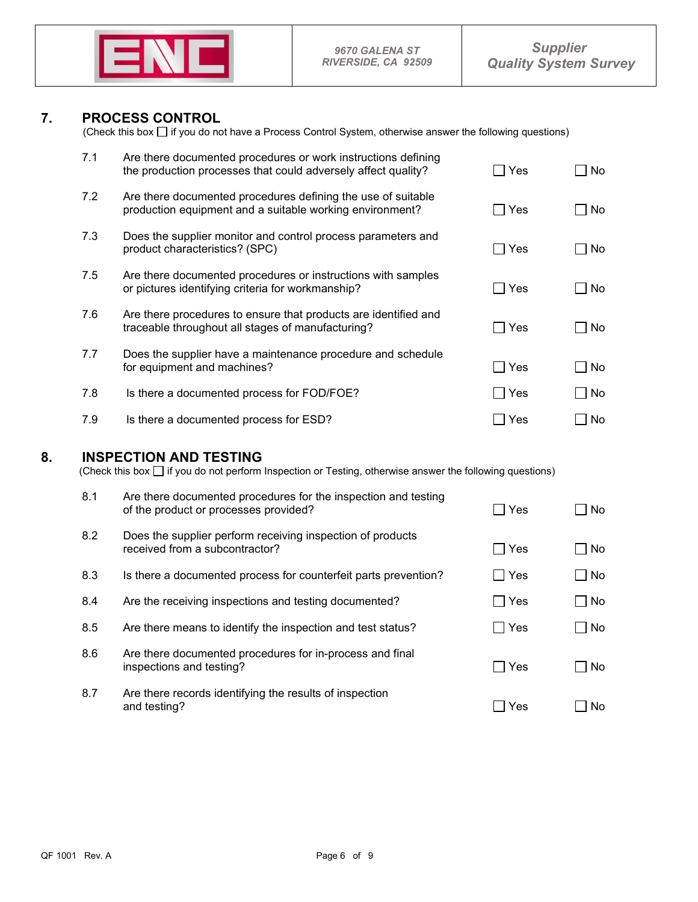

**7. PROCESS CONTROL** (Check this box  $\Box$  if you do not have a Process Control System, otherwise answer the following questions)

| 7.1 | Are there documented procedures or work instructions defining<br>the production processes that could adversely affect quality? | Yes | No. |
|-----|--------------------------------------------------------------------------------------------------------------------------------|-----|-----|
| 7.2 | Are there documented procedures defining the use of suitable<br>production equipment and a suitable working environment?       | Yes | No. |
| 7.3 | Does the supplier monitor and control process parameters and<br>product characteristics? (SPC)                                 | Yes | No. |
| 7.5 | Are there documented procedures or instructions with samples<br>or pictures identifying criteria for workmanship?              | Yes | No. |
| 7.6 | Are there procedures to ensure that products are identified and<br>traceable throughout all stages of manufacturing?           | Yes | No. |
| 7.7 | Does the supplier have a maintenance procedure and schedule<br>for equipment and machines?                                     | Yes | No. |
| 7.8 | Is there a documented process for FOD/FOE?                                                                                     | Yes | No  |
| 7.9 | Is there a documented process for ESD?                                                                                         | Yes | No. |
|     |                                                                                                                                |     |     |

**8. INSPECTION AND TESTING**<br>(Check this box  $\Box$  if you do not perform Inspection or Testing, otherwise answer the following questions)

| 8.1 | Are there documented procedures for the inspection and testing<br>of the product or processes provided? | Yes | No          |
|-----|---------------------------------------------------------------------------------------------------------|-----|-------------|
| 8.2 | Does the supplier perform receiving inspection of products<br>received from a subcontractor?            | Yes | No          |
| 8.3 | Is there a documented process for counterfeit parts prevention?                                         | Yes | ∣No         |
| 8.4 | Are the receiving inspections and testing documented?                                                   | Yes | $\sqcap$ No |
| 8.5 | Are there means to identify the inspection and test status?                                             | Yes | $\sqcap$ No |
| 8.6 | Are there documented procedures for in-process and final<br>inspections and testing?                    | Yes | No          |
| 8.7 | Are there records identifying the results of inspection<br>and testing?                                 | Yes | No.         |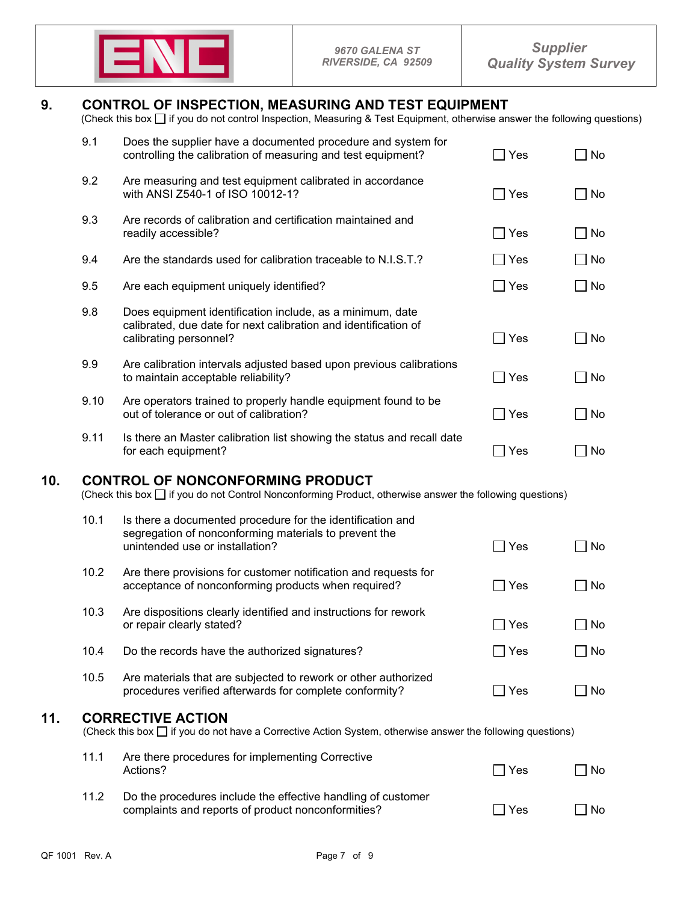

# **9. CONTROL OF INSPECTION, MEASURING AND TEST EQUIPMENT**

(Check this box  $\Box$  if you do not control Inspection, Measuring & Test Equipment, otherwise answer the following questions)

|     | 9.1  | Does the supplier have a documented procedure and system for<br>controlling the calibration of measuring and test equipment?                             | l Yes        | No        |
|-----|------|----------------------------------------------------------------------------------------------------------------------------------------------------------|--------------|-----------|
|     | 9.2  | Are measuring and test equipment calibrated in accordance<br>with ANSI Z540-1 of ISO 10012-1?                                                            | $\Box$ Yes   | $\Box$ No |
|     | 9.3  | Are records of calibration and certification maintained and<br>readily accessible?                                                                       | $\sqcap$ Yes | $\Box$ No |
|     | 9.4  | Are the standards used for calibration traceable to N.I.S.T.?                                                                                            | ∣ Yes        | $\Box$ No |
|     | 9.5  | Are each equipment uniquely identified?                                                                                                                  | ヿ Yes        | $\Box$ No |
|     | 9.8  | Does equipment identification include, as a minimum, date<br>calibrated, due date for next calibration and identification of<br>calibrating personnel?   | $\Box$ Yes   | $\Box$ No |
|     | 9.9  | Are calibration intervals adjusted based upon previous calibrations<br>to maintain acceptable reliability?                                               | Yes          | $\Box$ No |
|     | 9.10 | Are operators trained to properly handle equipment found to be<br>out of tolerance or out of calibration?                                                | $\sqcap$ Yes | $\Box$ No |
|     | 9.11 | Is there an Master calibration list showing the status and recall date<br>for each equipment?                                                            | $\Box$ Yes   | $\Box$ No |
| 10. |      | <b>CONTROL OF NONCONFORMING PRODUCT</b><br>(Check this box $\Box$ if you do not Control Nonconforming Product, otherwise answer the following questions) |              |           |
|     | 10.1 | Is there a documented procedure for the identification and<br>cogrogation of nonconforming materials to provent the                                      |              |           |

|      | segregation of nonconforming materials to prevent the<br>unintended use or installation?                                  | Yes | ∣No       |
|------|---------------------------------------------------------------------------------------------------------------------------|-----|-----------|
| 10.2 | Are there provisions for customer notification and requests for<br>acceptance of nonconforming products when required?    | Yes | ∣ ∣No     |
| 10.3 | Are dispositions clearly identified and instructions for rework<br>or repair clearly stated?                              | Yes | ∣ No      |
| 10.4 | Do the records have the authorized signatures?                                                                            | Yes | $\Box$ No |
| 10.5 | Are materials that are subjected to rework or other authorized<br>procedures verified afterwards for complete conformity? | Yes | ∣No       |
|      |                                                                                                                           |     |           |

**11. CORRECTIVE ACTION**<br>(Check this box  $\Box$  if you do not have a Corrective Action System, otherwise answer the following questions)

| 11.1 | Are there procedures for implementing Corrective<br>Actions?                                                       | l Yes | l No |
|------|--------------------------------------------------------------------------------------------------------------------|-------|------|
| 11.2 | Do the procedures include the effective handling of customer<br>complaints and reports of product nonconformities? | l Yes | ∣No  |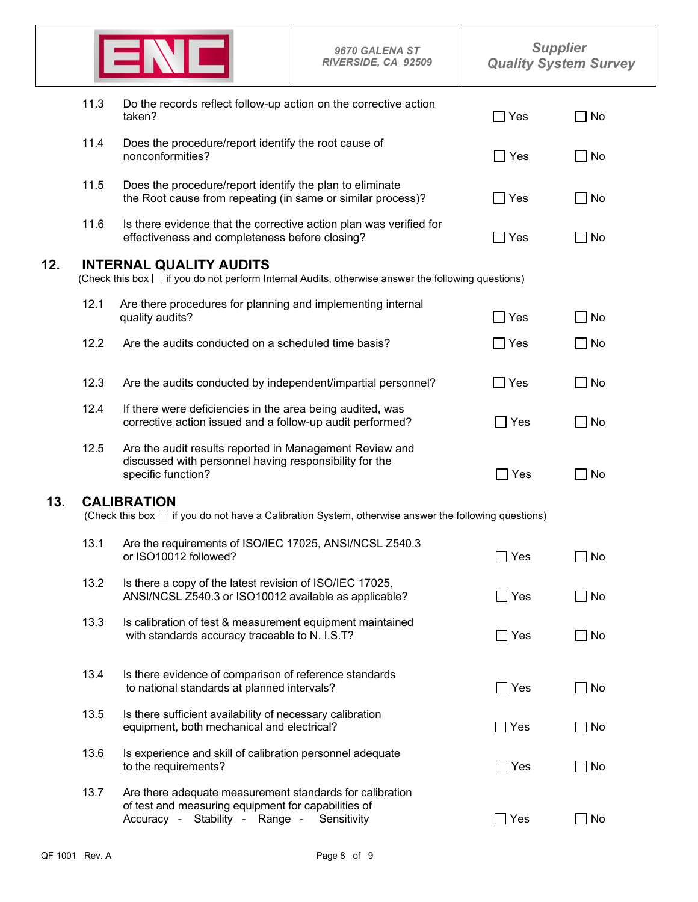|     |                                                                                                                                           |                                                                                                                                                                                                     | <b>9670 GALENA ST</b><br>RIVERSIDE, CA 92509 | <b>Supplier</b><br><b>Quality System Survey</b> |           |  |  |  |
|-----|-------------------------------------------------------------------------------------------------------------------------------------------|-----------------------------------------------------------------------------------------------------------------------------------------------------------------------------------------------------|----------------------------------------------|-------------------------------------------------|-----------|--|--|--|
|     | 11.3                                                                                                                                      | Do the records reflect follow-up action on the corrective action<br>taken?                                                                                                                          | Yes                                          | No                                              |           |  |  |  |
|     | 11.4                                                                                                                                      | Does the procedure/report identify the root cause of<br>nonconformities?<br>Does the procedure/report identify the plan to eliminate<br>the Root cause from repeating (in same or similar process)? |                                              | $\Box$ Yes                                      | No        |  |  |  |
|     | 11.5                                                                                                                                      |                                                                                                                                                                                                     |                                              | Yes                                             | No        |  |  |  |
|     | 11.6                                                                                                                                      | Is there evidence that the corrective action plan was verified for<br>effectiveness and completeness before closing?                                                                                | Yes                                          | No                                              |           |  |  |  |
| 12. | <b>INTERNAL QUALITY AUDITS</b><br>(Check this box $\Box$ if you do not perform Internal Audits, otherwise answer the following questions) |                                                                                                                                                                                                     |                                              |                                                 |           |  |  |  |
|     | 12.1                                                                                                                                      | Are there procedures for planning and implementing internal<br>quality audits?                                                                                                                      |                                              | Yes                                             | No        |  |  |  |
|     | 12.2                                                                                                                                      | Are the audits conducted on a scheduled time basis?                                                                                                                                                 |                                              | Yes                                             | No        |  |  |  |
|     | 12.3                                                                                                                                      | Are the audits conducted by independent/impartial personnel?                                                                                                                                        |                                              | Yes                                             | No        |  |  |  |
|     | 12.4                                                                                                                                      | If there were deficiencies in the area being audited, was<br>corrective action issued and a follow-up audit performed?                                                                              |                                              | ∏ Yes                                           | No        |  |  |  |
|     | 12.5                                                                                                                                      | Are the audit results reported in Management Review and<br>discussed with personnel having responsibility for the<br>specific function?                                                             |                                              | $\Box$ Yes                                      | No        |  |  |  |
| 13. | <b>CALIBRATION</b><br>(Check this box $\Box$ if you do not have a Calibration System, otherwise answer the following questions)           |                                                                                                                                                                                                     |                                              |                                                 |           |  |  |  |
|     | 13.1                                                                                                                                      | Are the requirements of ISO/IEC 17025, ANSI/NCSL Z540.3<br>or ISO10012 followed?                                                                                                                    |                                              | ∃ Yes                                           | No        |  |  |  |
|     | 13.2                                                                                                                                      | Is there a copy of the latest revision of ISO/IEC 17025,<br>ANSI/NCSL Z540.3 or ISO10012 available as applicable?                                                                                   |                                              | $\Box$ Yes                                      | ∣ No      |  |  |  |
|     | 13.3                                                                                                                                      | Is calibration of test & measurement equipment maintained<br>with standards accuracy traceable to N. I.S.T?                                                                                         |                                              | $\Box$ Yes                                      | ]No       |  |  |  |
|     | 13.4                                                                                                                                      | Is there evidence of comparison of reference standards<br>to national standards at planned intervals?                                                                                               |                                              | $\Box$ Yes                                      | $\Box$ No |  |  |  |
|     | 13.5                                                                                                                                      | Is there sufficient availability of necessary calibration<br>equipment, both mechanical and electrical?                                                                                             |                                              | $\Box$ Yes                                      | No        |  |  |  |
|     | 13.6                                                                                                                                      | Is experience and skill of calibration personnel adequate<br>to the requirements?                                                                                                                   |                                              | $\Box$ Yes                                      | ] No      |  |  |  |
|     | 13.7                                                                                                                                      | Are there adequate measurement standards for calibration<br>of test and measuring equipment for capabilities of<br>Accuracy - Stability - Range - Sensitivity                                       |                                              | $\Box$ Yes                                      | No        |  |  |  |